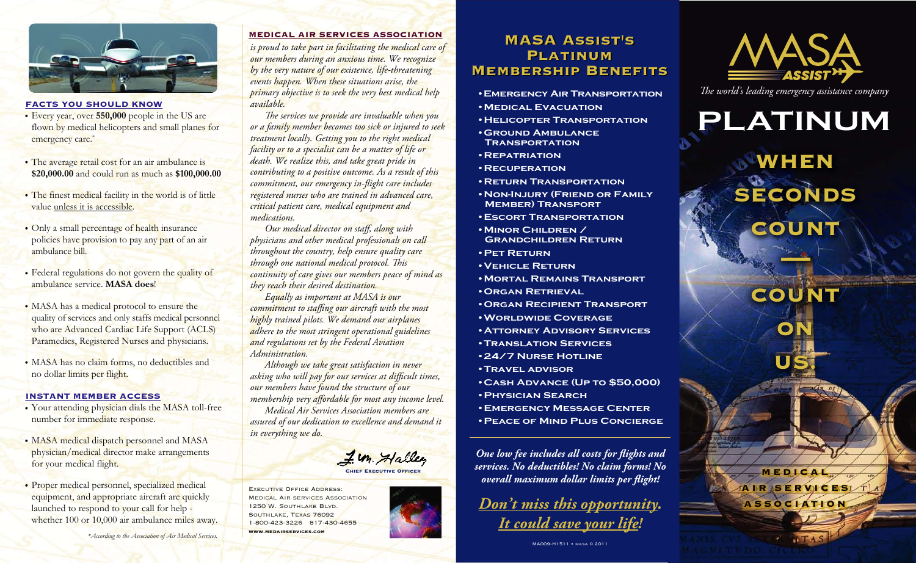

#### FACTS YOU SHOULD KNOW

- Every year, over **550,000** people in the US are flown by medical helicopters and small planes for emergency care.<sup>\*</sup>
- The average retail cost for an air ambulance is **\$20,000.00** and could run as much as **\$100,000.00**
- The finest medical facility in the world is of little value unless it is accessible.
- Only a small percentage of health insurance policies have provision to pay any part of an air ambulance bill.
- Federal regulations do not govern the quality of ambulance service. **MASA does**!
- MASA has a medical protocol to ensure the quality of services and only staffs medical personnel who are Advanced Cardiac Life Support (ACLS) Paramedics, Registered Nurses and physicians.
- MASA has no claim forms, no deductibles and no dollar limits per flight.

#### INSTANT MEMBER ACCESS

- Your attending physician dials the MASA toll-free number for immediate response.
- MASA medical dispatch personnel and MASA physician/medical director make arrangements for your medical flight.
- Proper medical personnel, specialized medical equipment, and appropriate aircraft are quickly launched to respond to your call for help whether 100 or 10,000 air ambulance miles away.

*\*According to the Association of Air Medical Services.* 

#### MEDICAL AIR SERVICES ASSOCIATION

*is proud to take part in facilitating the medical care of our members during an anxious time. We recognize by the very nature of our existence, life-threatening events happen. When these situations arise, the primary objective is to seek the very best medical help available.* 

The services we provide are invaluable when you *or a family member becomes too sick or injured to seek treatment locally. Getting you to the right medical facility or to a specialist can be a matter of life or death. We realize this, and take great pride in contributing to a positive outcome. As a result of this commitment, our emergency in-flight care includes registered nurses who are trained in advanced care, critical patient care, medical equipment and medications.*

*Our medical director on staff, along with physicians and other medical professionals on call throughout the country, help ensure quality care through one national medical protocol. This continuity of care gives our members peace of mind as they reach their desired destination.*

 *Equally as important at MASA is our commitment to staffing our aircraft with the most highly trained pilots. We demand our airplanes adhere to the most stringent operational guidelines and regulations set by the Federal Aviation Administration.*

 *Although we take great satisfaction in never*  asking who will pay for our services at difficult times, *our members have found the structure of our membership very affordable for most any income level. Medical Air Services Association members are assured of our dedication to excellence and demand it in everything we do.*

I. M. Halle Chief Executive Officer

EXECUTIVE OFFICE ADDRESS: Medical Air services Association 1250 W. Southlake Blvd. Southlake, Texas 76092 1-800-423-3226 817-430-4655 www.medairservices.com

# MASA Assist's MASA Assist's PLATINUM Membership Benefits Membership Benefits

- **•Emergency Air Transportation •Medical Evacuation**
- **•Helicopter Transportation**
- **•Ground Ambulance Transportation**
- **•Repatriation**
- **•Recuperation**
- **•Return Transportation**
- **•Non-Injury (Friend or Family Member) Transport**
- **•Escort Transportation**
- **•Minor Children / Grandchildren Return**

**•Pet Return**

- **•Vehicle Return**
- **•Mortal Remains Transport**
- **•Organ Retrieval**
- **•Organ Recipient Transport**
- **•Worldwide Coverage**
- **•Attorney Advisory Services**
- **•Translation Services**
- **•24/7 Nurse Hotline**
- **•Travel advisor**
- **•Cash Advance (Up to \$50,000)**
- **•Physician Search**
- **•Emergency Message Center**
- **•Peace of Mind Plus Concierge**

**One low fee includes all costs for flights and** *services. No deductibles! No claim forms! No overall maximum dollar limits per flight!* 

*Don't miss this opportunity. It could save your life!*



*e world's leading emergency assistance company*

# **PLATINUM**

WHEN SECONDS **COUNT** 

**COUNT** 

**ON** 

US.

**MEDICA** A IR IS E R VIC ESL A S S O C I AT I O N